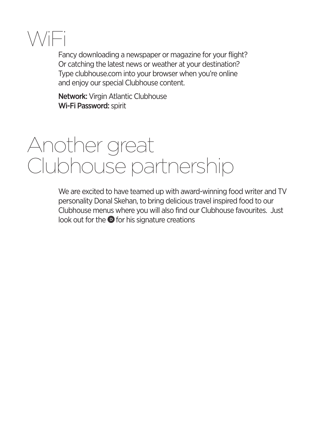

Fancy downloading a newspaper or magazine for your flight? Or catching the latest news or weather at your destination? Type clubhouse.com into your browser when you're online and enjoy our special Clubhouse content.

Network: Virgin Atlantic Clubhouse Wi-Fi Password: spirit

# Another great Clubhouse partnership

We are excited to have teamed up with award-winning food writer and TV personality Donal Skehan, to bring delicious travel inspired food to our Clubhouse menus where you will also find our Clubhouse favourites. Just look out for the  $\bullet$  for his signature creations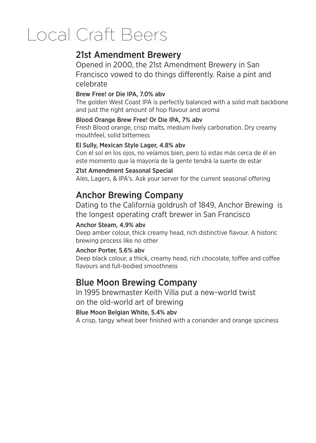# **Local Craft Beers**

## 21st Amendment Brewerv

Opened in 2000, the 21st Amendment Brewery in San Francisco vowed to do things differently. Raise a pint and celebrate

#### Brew Free! or Die IPA, 7.0% abv

The golden West Coast IPA is perfectly balanced with a solid malt backbone and just the right amount of hop flavour and aroma

#### Blood Orange Brew Free! Or Die IPA, 7% abv

Fresh Blood orange, crisp malts, medium lively carbonation. Dry creamy mouthfeel, solid bitterness

#### El Sully, Mexican Style Lager, 4.8% abv

Con el sol en los ojos, no veíamos bien, pero tú estas más cerca de él en este momento que la mayoría de la gente tendrá la suerte de estar

#### 21st Amendment Seasonal Special

Ales, Lagers, & IPA's. Ask your server for the current seasonal offering

### **Anchor Brewing Company**

Dating to the California goldrush of 1849. Anchor Brewing is the longest operating craft brewer in San Francisco

#### Anchor Steam, 4.9% abv

Deep amber colour, thick creamy head, rich distinctive flavour. A historic brewing process like no other

#### Anchor Porter, 5.6% abv

Deep black colour, a thick, creamy head, rich chocolate, toffee and coffee flavours and full-bodied smoothness

### **Blue Moon Brewing Company**

In 1995 brewmaster Keith Villa put a new-world twist on the old-world art of brewing

#### Blue Moon Belgian White, 5.4% aby

A crisp, tangy wheat beer finished with a coriander and orange spiciness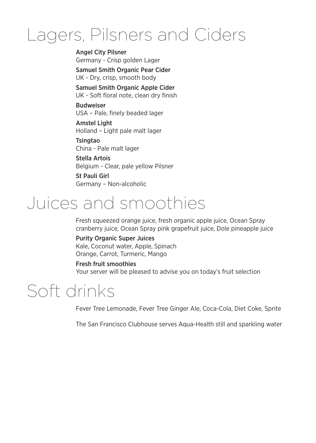## Lagers, Pilsners and Ciders

**Angel City Pilsner** Germany - Crisp golden Lager **Samuel Smith Organic Pear Cider** 

UK - Dry, crisp, smooth body

Samuel Smith Organic Apple Cider UK - Soft floral note, clean dry finish

#### **Budweiser** USA - Pale, finely beaded lager

**Amstel Light** Holland - Light pale malt lager

**Tsingtao** China - Pale malt lager

Stella Artois Belgium - Clear, pale yellow Pilsner

St Pauli Girl Germany - Non-alcoholic

# Juices and smoothies

Fresh squeezed orange juice, fresh organic apple juice, Ocean Spray cranberry juice, Ocean Spray pink grapefruit juice, Dole pineapple juice

## **Purity Organic Super Juices**

Kale, Coconut water, Apple, Spinach Orange, Carrot, Turmeric, Mango

**Fresh fruit smoothies** Your server will be pleased to advise you on today's fruit selection

## Soft drinks

Fever Tree Lemonade, Fever Tree Ginger Ale, Coca-Cola, Diet Coke, Sprite

The San Francisco Clubhouse serves Aqua-Health still and sparkling water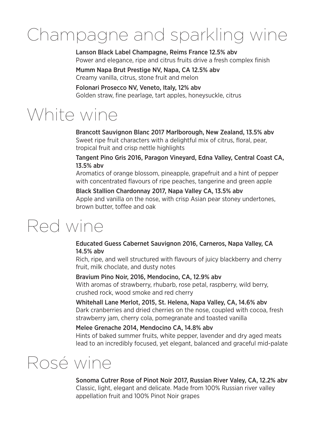# Champagne and sparkling wine

Lanson Black Label Champagne, Reims France 12.5% abv Power and elegance, ripe and citrus fruits drive a fresh complex finish

Mumm Napa Brut Prestige NV, Napa, CA 12.5% abv Creamy vanilla, citrus, stone fruit and melon

Folonari Prosecco NV. Veneto, Italy, 12% aby Golden straw, fine pearlage, tart apples, honeysuckle, citrus

## White wine

Brancott Sauvignon Blanc 2017 Marlborough, New Zealand, 13.5% abv Sweet ripe fruit characters with a delightful mix of citrus, floral, pear, tropical fruit and crisp nettle highlights

Tangent Pino Gris 2016, Paragon Vineyard, Edna Valley, Central Coast CA, 13.5% abv

Aromatics of orange blossom, pineapple, grapefruit and a hint of pepper with concentrated flavours of ripe peaches, tangerine and green apple

Black Stallion Chardonnay 2017, Napa Valley CA, 13.5% abv Apple and vanilla on the nose, with crisp Asian pear stoney undertones. brown butter, toffee and oak

## Red wine

#### Educated Guess Cabernet Sauvignon 2016, Carneros, Napa Valley, CA 14.5% abv

Rich, ripe, and well structured with flavours of juicy blackberry and cherry fruit, milk choclate, and dusty notes

#### Bravium Pino Noir, 2016, Mendocino, CA, 12.9% abv

With aromas of strawberry, rhubarb, rose petal, raspberry, wild berry, crushed rock, wood smoke and red cherry

#### Whitehall Lane Merlot, 2015, St. Helena, Napa Valley, CA, 14.6% abv

Dark cranberries and dried cherries on the nose, coupled with cocoa, fresh strawberry jam, cherry cola, pomegranate and toasted vanilla

#### Melee Grenache 2014, Mendocino CA, 14.8% abv

Hints of baked summer fruits, white pepper, lavender and dry aged meats lead to an incredibly focused, yet elegant, balanced and graceful mid-palate

## Rosé wine

Sonoma Cutrer Rose of Pinot Noir 2017, Russian River Valey, CA, 12.2% abv Classic, light, elegant and delicate. Made from 100% Russian river valley appellation fruit and 100% Pinot Noir grapes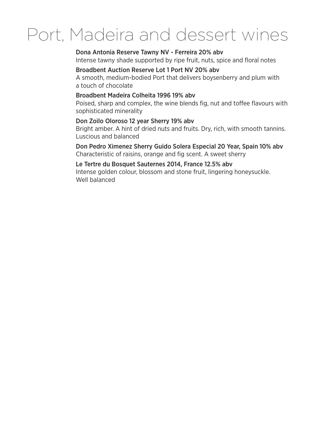## Port, Madeira and dessert wines

#### Dona Antonia Reserve Tawny NV - Ferreira 20% abv

Intense tawny shade supported by ripe fruit, nuts, spice and floral notes

#### Broadbent Auction Reserve Lot 1 Port NV 20% abv

A smooth, medium-bodied Port that delivers boysenberry and plum with a touch of chocolate

#### Broadbent Madeira Colheita 1996 19% aby

Poised, sharp and complex, the wine blends fig, nut and toffee flavours with sophisticated minerality

#### Don Zoilo Oloroso 12 year Sherry 19% abv

Bright amber. A hint of dried nuts and fruits. Dry, rich, with smooth tannins. Luscious and balanced

#### Don Pedro Ximenez Sherry Guido Solera Especial 20 Year, Spain 10% abv

Characteristic of raisins, orange and fig scent. A sweet sherry

#### Le Tertre du Bosquet Sauternes 2014, France 12.5% abv

Intense golden colour, blossom and stone fruit, lingering honeysuckle. Well balanced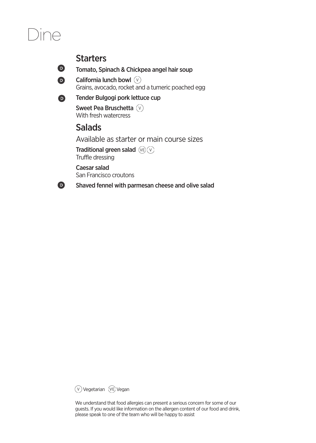## **DINA**

### **Starters**



 $\bullet$ 

Tomato, Spinach & Chickpea angel hair soup

California lunch bowl (V) Grains, avocado, rocket and a tumeric poached egg

#### Tender Bulgogi pork lettuce cup  $\bullet$

Sweet Pea Bruschetta (V) With fresh watercress

## **Salads**

Available as starter or main course sizes

Traditional green salad  $(\overline{VE})(\overline{V})$ Truffle dressing

Caesar salad San Francisco croutons

Shaved fennel with parmesan cheese and olive salad



We understand that food allergies can present a serious concern for some of our guests. If you would like information on the allergen content of our food and drink, please speak to one of the team who will be happy to assist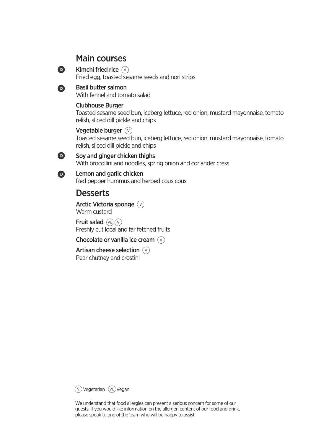### **Main courses**

Kimchi fried rice  $(\sqrt{v})$ Fried egg, toasted sesame seeds and nori strips

#### **Basil butter salmon**

 $\bullet$ 

A

 $\bullet$ 

 $\bullet$ 

With fennel and tomato salad

#### **Clubhouse Burger**

Toasted sesame seed bun, iceberg lettuce, red onion, mustard mayonnaise, tomato relish, sliced dill pickle and chips

Vegetable burger  $(\sqrt{v})$ Toasted sesame seed bun, iceberg lettuce, red onion, mustard mayonnaise, tomato relish, sliced dill pickle and chips

Sov and ginger chicken thighs With brocollini and noodles, spring onion and coriander cress

Lemon and garlic chicken Red pepper hummus and herbed cous cous

## **Desserts**

Arctic Victoria sponge (V) Warm custard

Fruit salad  $(\overline{v})$   $(\sqrt{v})$ Freshly cut local and far fetched fruits

Chocolate or vanilla ice cream  $(\sqrt{v})$ 

Artisan cheese selection  $(\vee)$ Pear chutney and crostini

(V) Vegetarian (VE) Vegan

We understand that food allergies can present a serious concern for some of our guests. If you would like information on the allergen content of our food and drink, please speak to one of the team who will be happy to assist